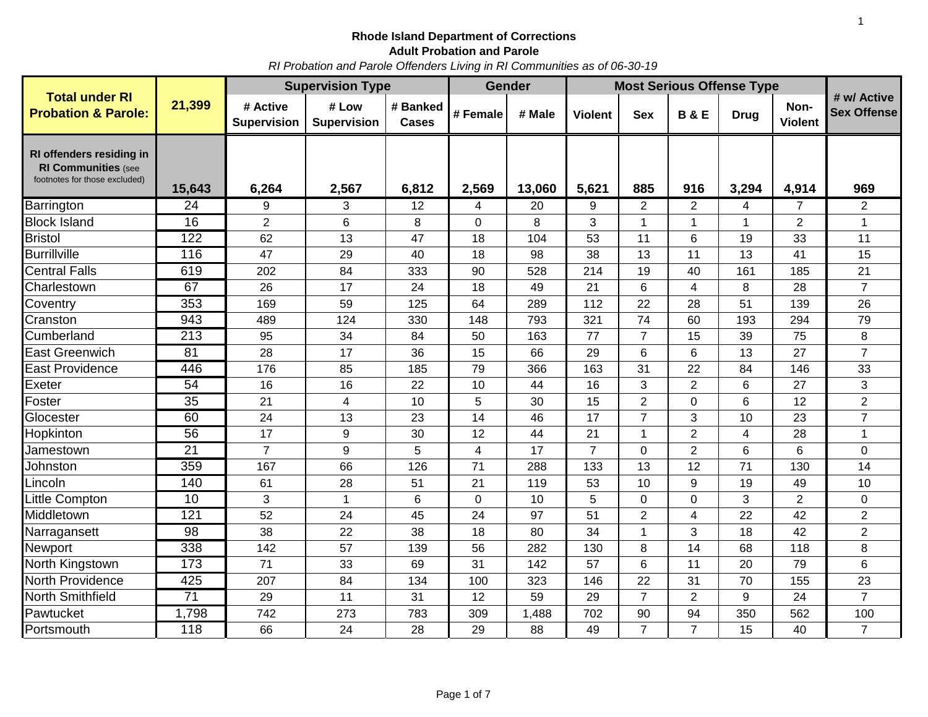*RI Probation and Parole Offenders Living in RI Communities as of 06-30-19*

|                                                                                         |                  | <b>Supervision Type</b>        |                             |                          |                | <b>Gender</b> | <b>Most Serious Offense Type</b> |                |                         |             |                        |                                   |
|-----------------------------------------------------------------------------------------|------------------|--------------------------------|-----------------------------|--------------------------|----------------|---------------|----------------------------------|----------------|-------------------------|-------------|------------------------|-----------------------------------|
| <b>Total under RI</b><br><b>Probation &amp; Parole:</b>                                 | 21,399           | # Active<br><b>Supervision</b> | # Low<br><b>Supervision</b> | # Banked<br><b>Cases</b> | # Female       | # Male        | <b>Violent</b>                   | <b>Sex</b>     | <b>B&amp;E</b>          | <b>Drug</b> | Non-<br><b>Violent</b> | # w/ Active<br><b>Sex Offense</b> |
| RI offenders residing in<br><b>RI Communities (see</b><br>footnotes for those excluded) | 15,643           | 6,264                          | 2,567                       | 6,812                    | 2,569          | 13,060        | 5,621                            | 885            | 916                     | 3,294       | 4,914                  | 969                               |
| Barrington                                                                              | 24               | 9                              | 3                           | 12                       | 4              | 20            | 9                                | $\overline{2}$ | 2                       | 4           | $\overline{7}$         | 2                                 |
| <b>Block Island</b>                                                                     | 16               | $\overline{2}$                 | 6                           | 8                        | 0              | 8             | 3                                | $\mathbf 1$    | $\mathbf 1$             | 1           | $\overline{2}$         | 1                                 |
| <b>Bristol</b>                                                                          | $\overline{122}$ | 62                             | 13                          | 47                       | 18             | 104           | 53                               | 11             | 6                       | 19          | 33                     | 11                                |
| <b>Burrillville</b>                                                                     | 116              | 47                             | 29                          | 40                       | 18             | 98            | 38                               | 13             | 11                      | 13          | 41                     | 15                                |
| <b>Central Falls</b>                                                                    | 619              | 202                            | 84                          | 333                      | 90             | 528           | 214                              | 19             | 40                      | 161         | 185                    | 21                                |
| Charlestown                                                                             | 67               | 26                             | 17                          | 24                       | 18             | 49            | 21                               | 6              | 4                       | 8           | 28                     | $\overline{7}$                    |
| Coventry                                                                                | 353              | 169                            | 59                          | 125                      | 64             | 289           | 112                              | 22             | 28                      | 51          | 139                    | 26                                |
| Cranston                                                                                | 943              | 489                            | 124                         | 330                      | 148            | 793           | 321                              | 74             | 60                      | 193         | 294                    | 79                                |
| Cumberland                                                                              | 213              | 95                             | 34                          | 84                       | 50             | 163           | 77                               | $\overline{7}$ | 15                      | 39          | 75                     | 8                                 |
| <b>East Greenwich</b>                                                                   | 81               | 28                             | 17                          | 36                       | 15             | 66            | 29                               | 6              | 6                       | 13          | 27                     | $\overline{7}$                    |
| <b>East Providence</b>                                                                  | 446              | 176                            | 85                          | 185                      | 79             | 366           | 163                              | 31             | 22                      | 84          | 146                    | 33                                |
| Exeter                                                                                  | 54               | 16                             | 16                          | 22                       | 10             | 44            | 16                               | 3              | $\overline{2}$          | 6           | 27                     | 3                                 |
| Foster                                                                                  | 35               | 21                             | 4                           | 10                       | 5              | 30            | 15                               | $\overline{2}$ | 0                       | 6           | 12                     | $\overline{2}$                    |
| Glocester                                                                               | 60               | 24                             | 13                          | 23                       | 14             | 46            | 17                               | $\overline{7}$ | 3                       | 10          | 23                     | $\overline{7}$                    |
| Hopkinton                                                                               | 56               | 17                             | 9                           | 30                       | 12             | 44            | 21                               | 1              | $\overline{2}$          | 4           | 28                     | 1                                 |
| Jamestown                                                                               | $\overline{21}$  | $\overline{7}$                 | 9                           | 5                        | $\overline{4}$ | 17            | $\overline{7}$                   | 0              | $\overline{2}$          | 6           | 6                      | $\overline{0}$                    |
| Johnston                                                                                | 359              | 167                            | 66                          | 126                      | 71             | 288           | 133                              | 13             | 12                      | 71          | 130                    | 14                                |
| Lincoln                                                                                 | 140              | 61                             | 28                          | 51                       | 21             | 119           | 53                               | 10             | 9                       | 19          | 49                     | 10                                |
| Little Compton                                                                          | 10               | 3                              | $\mathbf{1}$                | 6                        | $\mathbf 0$    | 10            | 5                                | 0              | 0                       | 3           | $\overline{2}$         | $\pmb{0}$                         |
| Middletown                                                                              | 121              | 52                             | 24                          | 45                       | 24             | 97            | 51                               | $\overline{2}$ | $\overline{\mathbf{4}}$ | 22          | 42                     | $\overline{2}$                    |
| Narragansett                                                                            | $\overline{98}$  | 38                             | 22                          | 38                       | 18             | 80            | 34                               | 1              | 3                       | 18          | 42                     | $\overline{2}$                    |
| Newport                                                                                 | 338              | 142                            | 57                          | 139                      | 56             | 282           | 130                              | 8              | 14                      | 68          | 118                    | 8                                 |
| North Kingstown                                                                         | 173              | 71                             | 33                          | 69                       | 31             | 142           | 57                               | 6              | 11                      | 20          | 79                     | 6                                 |
| <b>North Providence</b>                                                                 | 425              | 207                            | 84                          | 134                      | 100            | 323           | 146                              | 22             | 31                      | 70          | 155                    | 23                                |
| North Smithfield                                                                        | 71               | 29                             | 11                          | 31                       | 12             | 59            | 29                               | $\overline{7}$ | $\overline{2}$          | 9           | 24                     | $\overline{7}$                    |
| Pawtucket                                                                               | 1,798            | 742                            | 273                         | 783                      | 309            | 1,488         | 702                              | 90             | 94                      | 350         | 562                    | 100                               |
| Portsmouth                                                                              | 118              | 66                             | 24                          | 28                       | 29             | 88            | 49                               | $\overline{7}$ | $\overline{7}$          | 15          | 40                     | $\overline{7}$                    |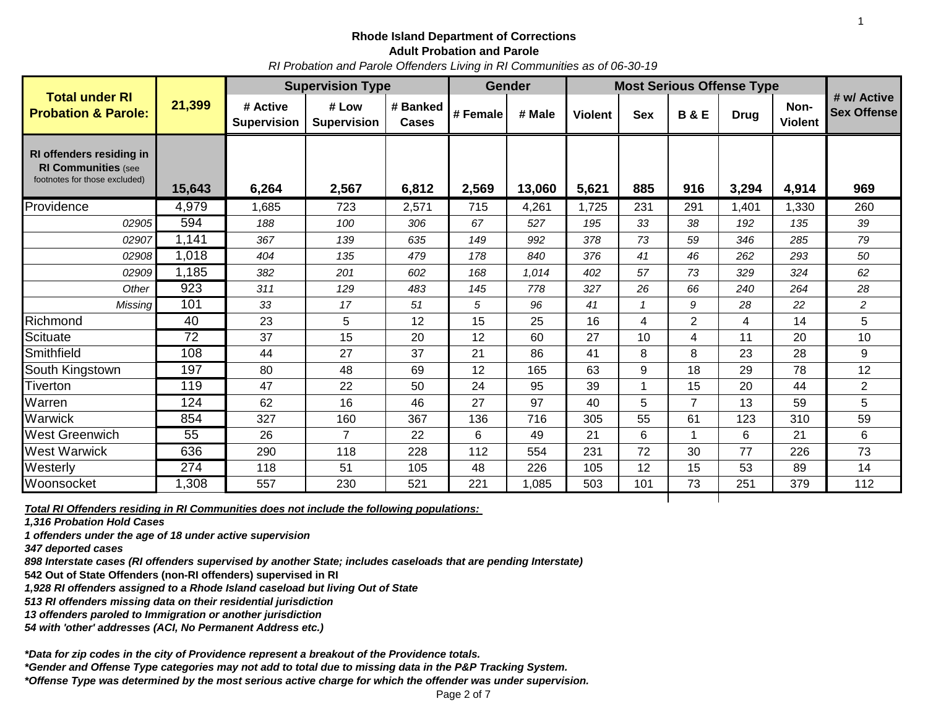*RI Probation and Parole Offenders Living in RI Communities as of 06-30-19*

|                                                                                         | 21,399 | <b>Supervision Type</b>        |                             |                   |          | <b>Gender</b> | <b>Most Serious Offense Type</b> |            |                |             |                        |                                   |
|-----------------------------------------------------------------------------------------|--------|--------------------------------|-----------------------------|-------------------|----------|---------------|----------------------------------|------------|----------------|-------------|------------------------|-----------------------------------|
| <b>Total under RI</b><br><b>Probation &amp; Parole:</b>                                 |        | # Active<br><b>Supervision</b> | # Low<br><b>Supervision</b> | # Banked<br>Cases | # Female | # Male        | <b>Violent</b>                   | <b>Sex</b> | <b>B&amp;E</b> | <b>Drug</b> | Non-<br><b>Violent</b> | # w/ Active<br><b>Sex Offense</b> |
| RI offenders residing in<br><b>RI Communities (see</b><br>footnotes for those excluded) | 15,643 | 6,264                          | 2,567                       | 6,812             | 2,569    | 13,060        | 5,621                            | 885        | 916            | 3,294       | 4,914                  | 969                               |
| Providence                                                                              | 4,979  | 1,685                          | 723                         | 2,571             | 715      | 4,261         | 1,725                            | 231        | 291            | 1,401       | 1,330                  | 260                               |
| 02905                                                                                   | 594    | 188                            | 100                         | 306               | 67       | 527           | 195                              | 33         | 38             | 192         | 135                    | 39                                |
| 02907                                                                                   | 1,141  | 367                            | 139                         | 635               | 149      | 992           | 378                              | 73         | 59             | 346         | 285                    | 79                                |
| 02908                                                                                   | 1,018  | 404                            | 135                         | 479               | 178      | 840           | 376                              | 41         | 46             | 262         | 293                    | 50                                |
| 02909                                                                                   | 1,185  | 382                            | 201                         | 602               | 168      | 1,014         | 402                              | 57         | 73             | 329         | 324                    | 62                                |
| Other                                                                                   | 923    | 311                            | 129                         | 483               | 145      | 778           | 327                              | 26         | 66             | 240         | 264                    | 28                                |
| Missing                                                                                 | 101    | 33                             | 17                          | 51                | 5        | 96            | 41                               |            | 9              | 28          | 22                     | $\overline{c}$                    |
| Richmond                                                                                | 40     | 23                             | 5                           | 12                | 15       | 25            | 16                               | 4          | $\overline{2}$ | 4           | 14                     | 5                                 |
| Scituate                                                                                | 72     | 37                             | 15                          | 20                | 12       | 60            | 27                               | 10         | 4              | 11          | 20                     | 10                                |
| Smithfield                                                                              | 108    | 44                             | 27                          | 37                | 21       | 86            | 41                               | 8          | 8              | 23          | 28                     | 9                                 |
| South Kingstown                                                                         | 197    | 80                             | 48                          | 69                | 12       | 165           | 63                               | 9          | 18             | 29          | 78                     | 12                                |
| Tiverton                                                                                | 119    | 47                             | 22                          | 50                | 24       | 95            | 39                               |            | 15             | 20          | 44                     | $\overline{2}$                    |
| Warren                                                                                  | 124    | 62                             | 16                          | 46                | 27       | 97            | 40                               | 5          | $\overline{7}$ | 13          | 59                     | 5                                 |
| Warwick                                                                                 | 854    | 327                            | 160                         | 367               | 136      | 716           | 305                              | 55         | 61             | 123         | 310                    | 59                                |
| <b>West Greenwich</b>                                                                   | 55     | 26                             | $\overline{7}$              | 22                | 6        | 49            | 21                               | 6          | 1              | 6           | 21                     | 6                                 |
| <b>West Warwick</b>                                                                     | 636    | 290                            | 118                         | 228               | 112      | 554           | 231                              | 72         | 30             | 77          | 226                    | 73                                |
| Westerly                                                                                | 274    | 118                            | 51                          | 105               | 48       | 226           | 105                              | 12         | 15             | 53          | 89                     | 14                                |
| Woonsocket                                                                              | ,308   | 557                            | 230                         | 521               | 221      | 1,085         | 503                              | 101        | 73             | 251         | 379                    | 112                               |

*Total RI Offenders residing in RI Communities does not include the following populations:* 

*1,316 Probation Hold Cases*

*1 offenders under the age of 18 under active supervision*

*347 deported cases* 

*898 Interstate cases (RI offenders supervised by another State; includes caseloads that are pending Interstate)* 

**542 Out of State Offenders (non-RI offenders) supervised in RI** 

*1,928 RI offenders assigned to a Rhode Island caseload but living Out of State*

*513 RI offenders missing data on their residential jurisdiction*

*13 offenders paroled to Immigration or another jurisdiction*

*54 with 'other' addresses (ACI, No Permanent Address etc.)*

*\*Data for zip codes in the city of Providence represent a breakout of the Providence totals.*

*\*Gender and Offense Type categories may not add to total due to missing data in the P&P Tracking System.*

*\*Offense Type was determined by the most serious active charge for which the offender was under supervision.*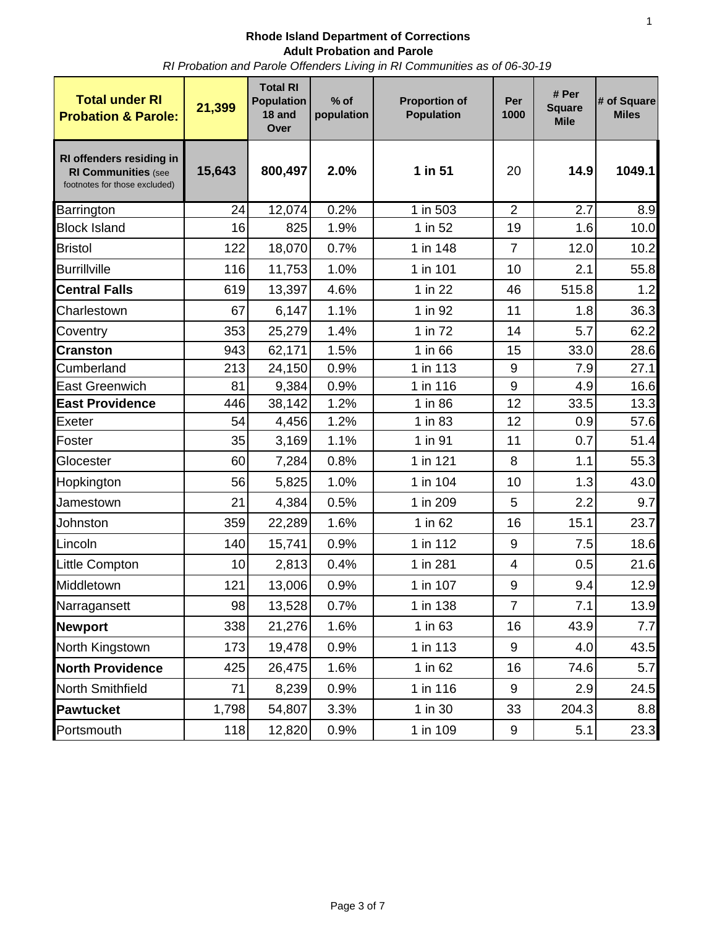*RI Probation and Parole Offenders Living in RI Communities as of 06-30-19*

| <b>Total under RI</b><br><b>Probation &amp; Parole:</b>                                 | 21,399 | <b>Total RI</b><br><b>Population</b><br>18 and<br>Over | $%$ of<br>population | <b>Proportion of</b><br><b>Population</b> | Per<br>1000      | # Per<br><b>Square</b><br><b>Mile</b> | # of Square<br><b>Miles</b> |
|-----------------------------------------------------------------------------------------|--------|--------------------------------------------------------|----------------------|-------------------------------------------|------------------|---------------------------------------|-----------------------------|
| RI offenders residing in<br><b>RI Communities (see</b><br>footnotes for those excluded) | 15,643 | 800,497                                                | 2.0%                 | 1 in 51                                   | 20               | 14.9                                  | 1049.1                      |
| Barrington                                                                              | 24     | 12,074                                                 | 0.2%                 | $1$ in 503                                | $\overline{2}$   | 2.7                                   | 8.9                         |
| <b>Block Island</b>                                                                     | 16     | 825                                                    | 1.9%                 | 1 in 52                                   | 19               | 1.6                                   | 10.0                        |
| <b>Bristol</b>                                                                          | 122    | 18,070                                                 | 0.7%                 | 1 in 148                                  | $\overline{7}$   | 12.0                                  | 10.2                        |
| <b>Burrillville</b>                                                                     | 116    | 11,753                                                 | 1.0%                 | 1 in 101                                  | 10               | 2.1                                   | 55.8                        |
| <b>Central Falls</b>                                                                    | 619    | 13,397                                                 | 4.6%                 | 1 in 22                                   | 46               | 515.8                                 | 1.2                         |
| Charlestown                                                                             | 67     | 6,147                                                  | 1.1%                 | 1 in 92                                   | 11               | 1.8                                   | 36.3                        |
| Coventry                                                                                | 353    | 25,279                                                 | 1.4%                 | 1 in 72                                   | 14               | 5.7                                   | 62.2                        |
| <b>Cranston</b>                                                                         | 943    | 62,171                                                 | 1.5%                 | 1 in 66                                   | 15               | 33.0                                  | 28.6                        |
| Cumberland                                                                              | 213    | 24,150                                                 | 0.9%                 | 1 in 113                                  | 9                | 7.9                                   | 27.1                        |
| <b>East Greenwich</b>                                                                   | 81     | 9,384                                                  | 0.9%                 | 1 in 116                                  | $\boldsymbol{9}$ | 4.9                                   | 16.6                        |
| <b>East Providence</b>                                                                  | 446    | 38,142                                                 | 1.2%                 | 1 in 86                                   | 12               | 33.5                                  | 13.3                        |
| Exeter                                                                                  | 54     | 4,456                                                  | 1.2%                 | 1 in 83                                   | 12               | 0.9                                   | 57.6                        |
| Foster                                                                                  | 35     | 3,169                                                  | 1.1%                 | 1 in 91                                   | 11               | 0.7                                   | 51.4                        |
| Glocester                                                                               | 60     | 7,284                                                  | 0.8%                 | 1 in 121                                  | 8                | 1.1                                   | 55.3                        |
| Hopkington                                                                              | 56     | 5,825                                                  | 1.0%                 | 1 in 104                                  | 10               | 1.3                                   | 43.0                        |
| Jamestown                                                                               | 21     | 4,384                                                  | 0.5%                 | 1 in 209                                  | 5                | 2.2                                   | 9.7                         |
| Johnston                                                                                | 359    | 22,289                                                 | 1.6%                 | 1 in 62                                   | 16               | 15.1                                  | 23.7                        |
| Lincoln                                                                                 | 140    | 15,741                                                 | 0.9%                 | 1 in 112                                  | 9                | 7.5                                   | 18.6                        |
| Little Compton                                                                          | 10     | 2,813                                                  | 0.4%                 | 1 in 281                                  | 4                | 0.5                                   | 21.6                        |
| Middletown                                                                              | 121    | 13,006                                                 | 0.9%                 | 1 in 107                                  | 9                | 9.4                                   | 12.9                        |
| Narragansett                                                                            | 98     | 13,528                                                 | 0.7%                 | 1 in 138                                  | 7                | 7.1                                   | 13.9                        |
| <b>Newport</b>                                                                          | 338    | 21,276                                                 | 1.6%                 | 1 in 63                                   | 16               | 43.9                                  | 7.7                         |
| North Kingstown                                                                         | 173    | 19,478                                                 | 0.9%                 | 1 in 113                                  | 9                | 4.0                                   | 43.5                        |
| <b>North Providence</b>                                                                 | 425    | 26,475                                                 | 1.6%                 | 1 in 62                                   | 16               | 74.6                                  | 5.7                         |
| North Smithfield                                                                        | 71     | 8,239                                                  | 0.9%                 | 1 in 116                                  | $\boldsymbol{9}$ | 2.9                                   | 24.5                        |
| <b>Pawtucket</b>                                                                        | 1,798  | 54,807                                                 | 3.3%                 | 1 in 30                                   | 33               | 204.3                                 | 8.8                         |
| Portsmouth                                                                              | 118    | 12,820                                                 | 0.9%                 | 1 in 109                                  | 9                | 5.1                                   | 23.3                        |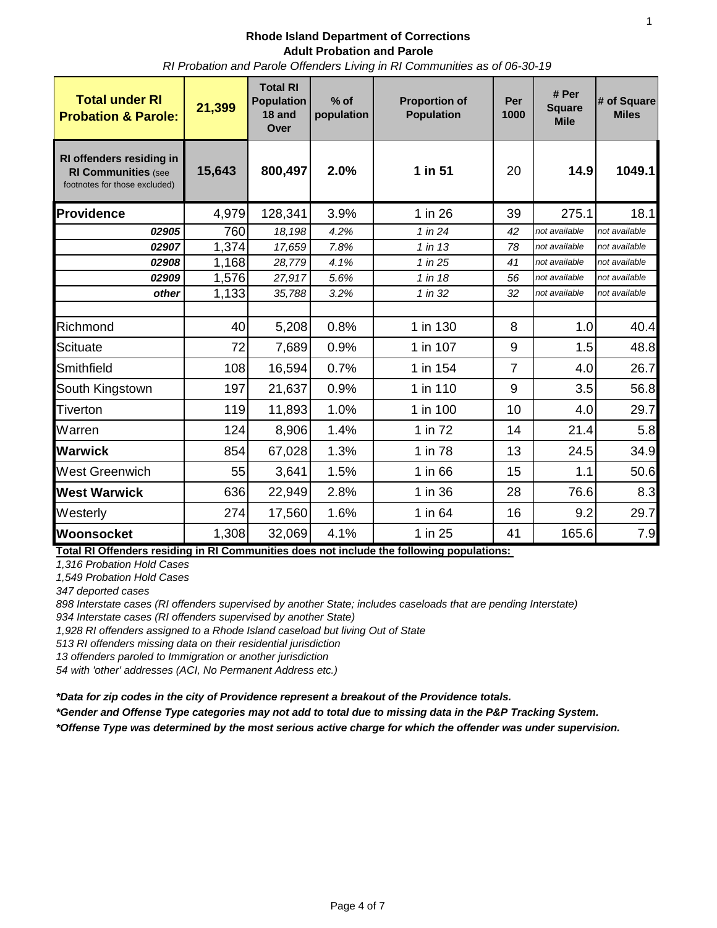*RI Probation and Parole Offenders Living in RI Communities as of 06-30-19*

| <b>Total under RI</b><br><b>Probation &amp; Parole:</b>                                 | 21,399 | <b>Total RI</b><br><b>Population</b><br>18 and<br>Over | $%$ of<br>population | <b>Proportion of</b><br><b>Population</b> | Per<br>1000    | # Per<br><b>Square</b><br><b>Mile</b> | # of Square<br><b>Miles</b> |  |
|-----------------------------------------------------------------------------------------|--------|--------------------------------------------------------|----------------------|-------------------------------------------|----------------|---------------------------------------|-----------------------------|--|
| RI offenders residing in<br><b>RI Communities (see</b><br>footnotes for those excluded) | 15,643 | 800,497                                                | 2.0%                 | 1 in 51                                   | 20             | 14.9                                  | 1049.1                      |  |
| Providence                                                                              | 4,979  | 128,341                                                | 3.9%                 | 1 in 26                                   | 39             | 275.1                                 | 18.1                        |  |
| 02905                                                                                   | 760    | 18,198                                                 | 4.2%                 | 1 in 24                                   | 42             | not available                         | not available               |  |
| 02907                                                                                   | 1,374  | 17,659                                                 | 7.8%                 | $1$ in 13                                 | 78             | not available                         | not available               |  |
| 02908                                                                                   | 1,168  | 28,779                                                 | 4.1%                 | 1 in 25                                   | 41             | not available                         | not available               |  |
| 02909                                                                                   | 1,576  | 27,917                                                 | 5.6%                 | 1 in 18                                   | 56             | not available                         | not available               |  |
| other                                                                                   | 1,133  | 35,788                                                 | 3.2%                 | 1 in 32                                   | 32             | not available                         | not available               |  |
|                                                                                         |        |                                                        |                      |                                           |                |                                       |                             |  |
| Richmond                                                                                | 40     | 5,208                                                  | 0.8%                 | 1 in 130                                  | 8              | 1.0                                   | 40.4                        |  |
| Scituate                                                                                | 72     | 7,689                                                  | 0.9%                 | 1 in 107                                  | 9              | 1.5                                   | 48.8                        |  |
| Smithfield                                                                              | 108    | 16,594                                                 | 0.7%                 | 1 in 154                                  | $\overline{7}$ | 4.0                                   | 26.7                        |  |
| South Kingstown                                                                         | 197    | 21,637                                                 | 0.9%                 | 1 in 110                                  | 9              | 3.5                                   | 56.8                        |  |
| <b>Tiverton</b>                                                                         | 119    | 11,893                                                 | 1.0%                 | 1 in 100                                  | 10             | 4.0                                   | 29.7                        |  |
| Warren                                                                                  | 124    | 8,906                                                  | 1.4%                 | 1 in 72                                   | 14             | 21.4                                  | 5.8                         |  |
| <b>Warwick</b>                                                                          | 854    | 67,028                                                 | 1.3%                 | 1 in 78                                   | 13             | 24.5                                  | 34.9                        |  |
| <b>West Greenwich</b>                                                                   | 55     | 3,641                                                  | 1.5%                 | 1 in 66                                   | 15             | 1.1                                   | 50.6                        |  |
| <b>West Warwick</b>                                                                     | 636    | 22,949                                                 | 2.8%                 | 1 in 36                                   | 28             | 76.6                                  | 8.3                         |  |
| Westerly                                                                                | 274    | 17,560                                                 | 1.6%                 | 1 in 64                                   | 16             | 9.2                                   | 29.7                        |  |
| Woonsocket                                                                              | 1,308  | 32,069                                                 | 4.1%                 | 1 in 25                                   | 41             | 165.6                                 | 7.9                         |  |

**Total RI Offenders residing in RI Communities does not include the following populations:** 

*1,316 Probation Hold Cases*

*1,549 Probation Hold Cases*

*347 deported cases* 

*898 Interstate cases (RI offenders supervised by another State; includes caseloads that are pending Interstate)* 

*934 Interstate cases (RI offenders supervised by another State)* 

*1,928 RI offenders assigned to a Rhode Island caseload but living Out of State*

*513 RI offenders missing data on their residential jurisdiction*

*13 offenders paroled to Immigration or another jurisdiction*

*54 with 'other' addresses (ACI, No Permanent Address etc.)*

*\*Data for zip codes in the city of Providence represent a breakout of the Providence totals.*

*\*Gender and Offense Type categories may not add to total due to missing data in the P&P Tracking System.*

*\*Offense Type was determined by the most serious active charge for which the offender was under supervision.*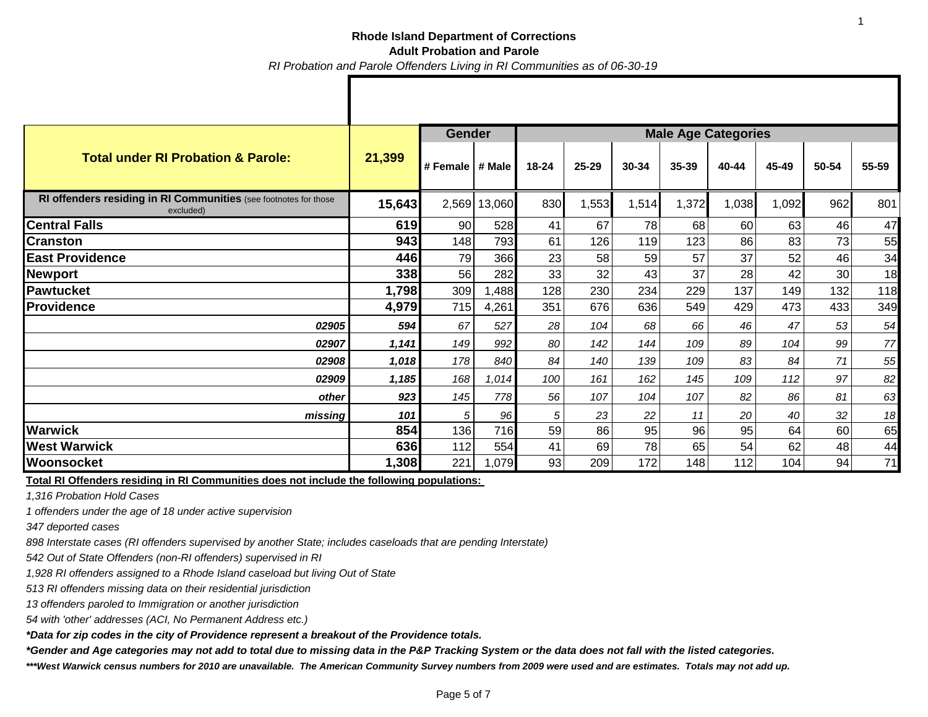|                                                                               |        | <b>Gender</b>     |        |       |           | <b>Male Age Categories</b> |           |       |       |       |       |  |  |
|-------------------------------------------------------------------------------|--------|-------------------|--------|-------|-----------|----------------------------|-----------|-------|-------|-------|-------|--|--|
| <b>Total under RI Probation &amp; Parole:</b>                                 | 21,399 | # Female   # Male |        | 18-24 | $25 - 29$ | 30-34                      | $35 - 39$ | 40-44 | 45-49 | 50-54 | 55-59 |  |  |
| RI offenders residing in RI Communities (see footnotes for those<br>excluded) | 15,643 | 2,569             | 13,060 | 830   | 1,553     | 1,514                      | 1,372     | 1,038 | 1,092 | 962   | 801   |  |  |
| <b>Central Falls</b>                                                          | 619    | 90                | 528    | 41    | 67        | 78                         | 68        | 60    | 63    | 46    | 47    |  |  |
| <b>Cranston</b>                                                               | 943    | 148               | 793    | 61    | 126       | 119                        | 123       | 86    | 83    | 73    | 55    |  |  |
| <b>East Providence</b>                                                        | 446    | 79                | 366    | 23    | 58        | 59                         | 57        | 37    | 52    | 46    | 34    |  |  |
| Newport                                                                       | 338    | 56                | 282    | 33    | 32        | 43                         | 37        | 28    | 42    | 30    | 18    |  |  |
| <b>Pawtucket</b>                                                              | 1,798  | 309               | 1,488  | 128   | 230       | 234                        | 229       | 137   | 149   | 132   | 118   |  |  |
| <b>Providence</b>                                                             | 4,979  | 715               | 4,261  | 351   | 676       | 636                        | 549       | 429   | 473   | 433   | 349   |  |  |
| 02905                                                                         | 594    | 67                | 527    | 28    | 104       | 68                         | 66        | 46    | 47    | 53    | 54    |  |  |
| 02907                                                                         | 1,141  | 149               | 992    | 80    | 142       | 144                        | 109       | 89    | 104   | 99    | 77    |  |  |
| 02908                                                                         | 1,018  | 178               | 840    | 84    | 140       | 139                        | 109       | 83    | 84    | 71    | 55    |  |  |
| 02909                                                                         | 1,185  | 168               | 1,014  | 100   | 161       | 162                        | 145       | 109   | 112   | 97    | 82    |  |  |
| other                                                                         | 923    | 145               | 778    | 56    | 107       | 104                        | 107       | 82    | 86    | 81    | 63    |  |  |
| missing                                                                       | 101    | 5                 | 96     | 5     | 23        | 22                         | 11        | 20    | 40    | 32    | 18    |  |  |
| <b>Warwick</b>                                                                | 854    | 136               | 716    | 59    | 86        | 95                         | 96        | 95    | 64    | 60    | 65    |  |  |
| <b>West Warwick</b>                                                           | 636    | 112               | 554    | 41    | 69        | 78                         | 65        | 54    | 62    | 48    | 44    |  |  |
| Woonsocket                                                                    | 1,308  | 221               | 1,079  | 93    | 209       | 172                        | 148       | 112   | 104   | 94    | 71    |  |  |

**Total RI Offenders residing in RI Communities does not include the following populations:** 

*1,316 Probation Hold Cases*

*1 offenders under the age of 18 under active supervision*

*347 deported cases* 

*898 Interstate cases (RI offenders supervised by another State; includes caseloads that are pending Interstate)* 

*542 Out of State Offenders (non-RI offenders) supervised in RI* 

*1,928 RI offenders assigned to a Rhode Island caseload but living Out of State*

*513 RI offenders missing data on their residential jurisdiction*

*13 offenders paroled to Immigration or another jurisdiction*

*54 with 'other' addresses (ACI, No Permanent Address etc.)*

*\*Data for zip codes in the city of Providence represent a breakout of the Providence totals.*

*\*Gender and Age categories may not add to total due to missing data in the P&P Tracking System or the data does not fall with the listed categories.*

*\*\*\*West Warwick census numbers for 2010 are unavailable. The American Community Survey numbers from 2009 were used and are estimates. Totals may not add up.*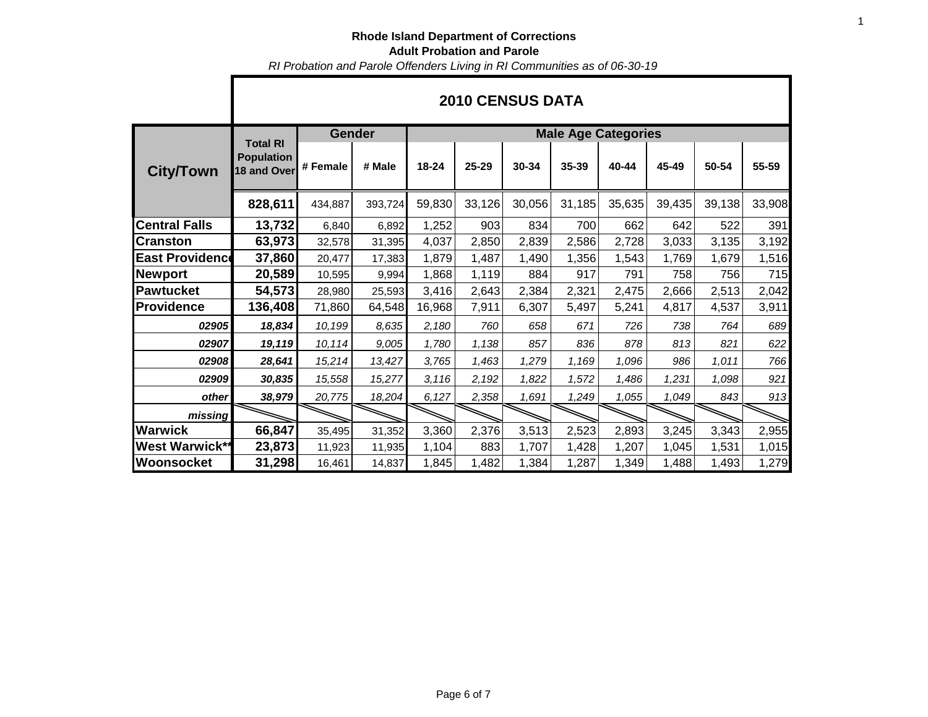*RI Probation and Parole Offenders Living in RI Communities as of 06-30-19*

|                        |                                                     | <b>2010 CENSUS DATA</b> |         |                            |        |        |        |        |        |        |        |  |  |  |
|------------------------|-----------------------------------------------------|-------------------------|---------|----------------------------|--------|--------|--------|--------|--------|--------|--------|--|--|--|
|                        |                                                     | Gender                  |         | <b>Male Age Categories</b> |        |        |        |        |        |        |        |  |  |  |
| <b>City/Town</b>       | <b>Total RI</b><br><b>Population</b><br>18 and Over | # Female                | # Male  | 18-24                      | 25-29  | 30-34  | 35-39  | 40-44  | 45-49  | 50-54  | 55-59  |  |  |  |
|                        | 828,611                                             | 434,887                 | 393,724 | 59,830                     | 33,126 | 30,056 | 31,185 | 35,635 | 39,435 | 39,138 | 33,908 |  |  |  |
| <b>Central Falls</b>   | 13,732                                              | 6,840                   | 6,892   | 1,252                      | 903    | 834    | 700    | 662    | 642    | 522    | 391    |  |  |  |
| <b>Cranston</b>        | 63,973                                              | 32,578                  | 31,395  | 4,037                      | 2,850  | 2,839  | 2,586  | 2,728  | 3,033  | 3,135  | 3,192  |  |  |  |
| <b>East Providence</b> | 37,860                                              | 20,477                  | 17,383  | 1,879                      | 1,487  | 1,490  | 1,356  | 1,543  | 1,769  | 1,679  | 1,516  |  |  |  |
| Newport                | 20,589                                              | 10,595                  | 9,994   | 1,868                      | 1,119  | 884    | 917    | 791    | 758    | 756    | 715    |  |  |  |
| <b>Pawtucket</b>       | 54,573                                              | 28,980                  | 25,593  | 3,416                      | 2,643  | 2,384  | 2,321  | 2,475  | 2,666  | 2,513  | 2,042  |  |  |  |
| <b>Providence</b>      | 136,408                                             | 71,860                  | 64,548  | 16,968                     | 7,911  | 6,307  | 5,497  | 5,241  | 4,817  | 4,537  | 3,911  |  |  |  |
| 02905                  | 18,834                                              | 10,199                  | 8,635   | 2,180                      | 760    | 658    | 671    | 726    | 738    | 764    | 689    |  |  |  |
| 02907                  | 19,119                                              | 10,114                  | 9,005   | 1,780                      | 1,138  | 857    | 836    | 878    | 813    | 821    | 622    |  |  |  |
| 02908                  | 28,641                                              | 15,214                  | 13,427  | 3,765                      | 1,463  | 1,279  | 1,169  | 1,096  | 986    | 1,011  | 766    |  |  |  |
| 02909                  | 30,835                                              | 15,558                  | 15,277  | 3,116                      | 2,192  | 1,822  | 1,572  | 1,486  | 1,231  | 1,098  | 921    |  |  |  |
| other                  | 38,979                                              | 20,775                  | 18,204  | 6,127                      | 2,358  | 1,691  | 1,249  | 1,055  | 1,049  | 843    | 913    |  |  |  |
| missing                |                                                     |                         |         |                            |        |        |        |        |        |        |        |  |  |  |
| <b>Warwick</b>         | 66,847                                              | 35,495                  | 31,352  | 3,360                      | 2,376  | 3,513  | 2,523  | 2,893  | 3,245  | 3,343  | 2,955  |  |  |  |
| <b>West Warwick**</b>  | 23,873                                              | 11,923                  | 11,935  | 1,104                      | 883    | 1,707  | 1,428  | 1,207  | 1,045  | 1,531  | 1,015  |  |  |  |
| Woonsocket             | 31,298                                              | 16,461                  | 14,837  | 1,845                      | 1,482  | 1,384  | 1,287  | 1,349  | 1,488  | 1,493  | 1,279  |  |  |  |